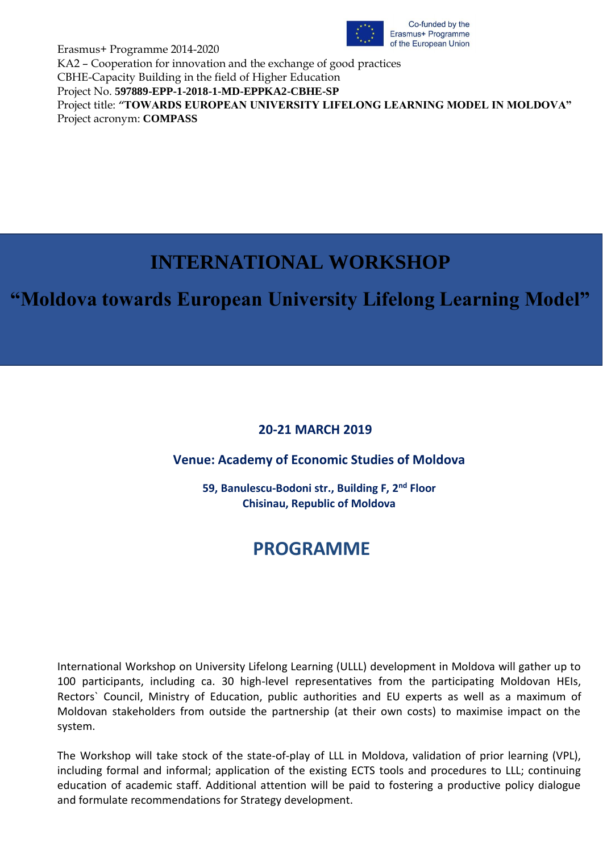

Erasmus+ Programme 2014-2020 KA2 – Cooperation for innovation and the exchange of good practices CBHE-Capacity Building in the field of Higher Education Project No. **597889-EPP-1-2018-1-MD-EPPKA2-CBHE-SP** Project title: *"***TOWARDS EUROPEAN UNIVERSITY LIFELONG LEARNING MODEL IN MOLDOVA"** Project acronym: **COMPASS**

# **INTERNATIONAL WORKSHOP**

## **"Moldova towards European University Lifelong Learning Model"**

### **20-21 MARCH 2019**

### **Venue: Academy of Economic Studies of Moldova**

**59, Banulescu-Bodoni str., Building F, 2nd Floor Chisinau, Republic of Moldova**

## **PROGRAMME**

International Workshop on University Lifelong Learning (ULLL) development in Moldova will gather up to 100 participants, including ca. 30 high-level representatives from the participating Moldovan HEIs, Rectors` Council, Ministry of Education, public authorities and EU experts as well as a maximum of Moldovan stakeholders from outside the partnership (at their own costs) to maximise impact on the system.

The Workshop will take stock of the state-of-play of LLL in Moldova, validation of prior learning (VPL), including formal and informal; application of the existing ECTS tools and procedures to LLL; continuing education of academic staff. Additional attention will be paid to fostering a productive policy dialogue and formulate recommendations for Strategy development.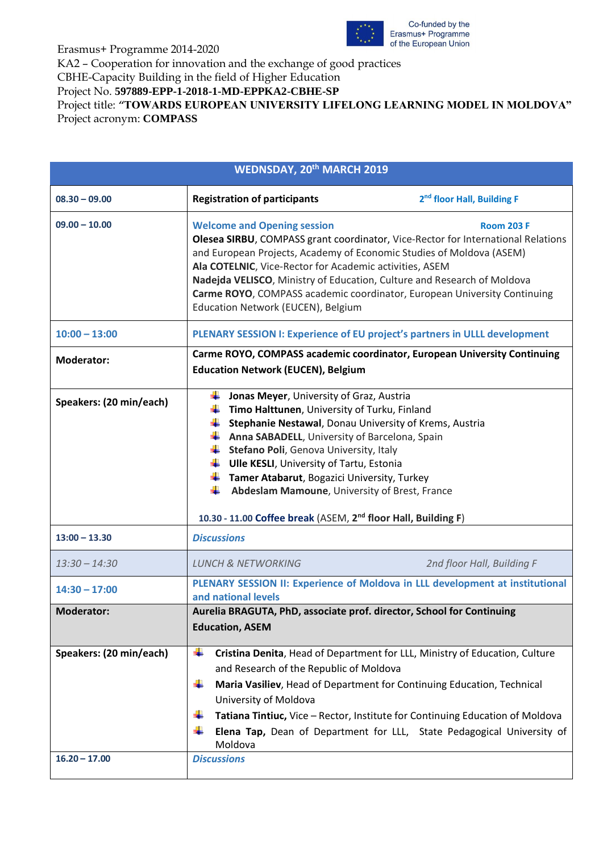

#### Erasmus+ Programme 2014-2020

KA2 – Cooperation for innovation and the exchange of good practices

CBHE-Capacity Building in the field of Higher Education

Project No. **597889-EPP-1-2018-1-MD-EPPKA2-CBHE-SP**

Project title: *"***TOWARDS EUROPEAN UNIVERSITY LIFELONG LEARNING MODEL IN MOLDOVA"** Project acronym: **COMPASS**

| <b>WEDNSDAY, 20th MARCH 2019</b>           |                                                                                                                                                                                                                                                                                                                                                                                                                                                                                                            |                                                                                                                                                                                                                                                                                                                  |
|--------------------------------------------|------------------------------------------------------------------------------------------------------------------------------------------------------------------------------------------------------------------------------------------------------------------------------------------------------------------------------------------------------------------------------------------------------------------------------------------------------------------------------------------------------------|------------------------------------------------------------------------------------------------------------------------------------------------------------------------------------------------------------------------------------------------------------------------------------------------------------------|
| $08.30 - 09.00$                            | <b>Registration of participants</b>                                                                                                                                                                                                                                                                                                                                                                                                                                                                        | 2 <sup>nd</sup> floor Hall, Building F                                                                                                                                                                                                                                                                           |
| $09.00 - 10.00$                            | <b>Welcome and Opening session</b><br><b>Room 203 F</b><br>Olesea SIRBU, COMPASS grant coordinator, Vice-Rector for International Relations<br>and European Projects, Academy of Economic Studies of Moldova (ASEM)<br>Ala COTELNIC, Vice-Rector for Academic activities, ASEM<br>Nadejda VELISCO, Ministry of Education, Culture and Research of Moldova<br>Carme ROYO, COMPASS academic coordinator, European University Continuing<br>Education Network (EUCEN), Belgium                                |                                                                                                                                                                                                                                                                                                                  |
| $10:00 - 13:00$                            |                                                                                                                                                                                                                                                                                                                                                                                                                                                                                                            | PLENARY SESSION I: Experience of EU project's partners in ULLL development                                                                                                                                                                                                                                       |
| <b>Moderator:</b>                          | <b>Education Network (EUCEN), Belgium</b>                                                                                                                                                                                                                                                                                                                                                                                                                                                                  | Carme ROYO, COMPASS academic coordinator, European University Continuing                                                                                                                                                                                                                                         |
| Speakers: (20 min/each)                    | Jonas Meyer, University of Graz, Austria<br>Timo Halttunen, University of Turku, Finland<br>Stephanie Nestawal, Donau University of Krems, Austria<br>۰.<br><b>4 Anna SABADELL</b> , University of Barcelona, Spain<br>Stefano Poli, Genova University, Italy<br>┻<br><b>Ulle KESLI, University of Tartu, Estonia</b><br><b>Tamer Atabarut</b> , Bogazici University, Turkey<br>Abdeslam Mamoune, University of Brest, France<br>10.30 - 11.00 Coffee break (ASEM, 2 <sup>nd</sup> floor Hall, Building F) |                                                                                                                                                                                                                                                                                                                  |
| $13:00 - 13.30$                            | <b>Discussions</b>                                                                                                                                                                                                                                                                                                                                                                                                                                                                                         |                                                                                                                                                                                                                                                                                                                  |
| $13:30 - 14:30$                            | <b>LUNCH &amp; NETWORKING</b>                                                                                                                                                                                                                                                                                                                                                                                                                                                                              | 2nd floor Hall, Building F                                                                                                                                                                                                                                                                                       |
| $14:30 - 17:00$                            | and national levels                                                                                                                                                                                                                                                                                                                                                                                                                                                                                        | PLENARY SESSION II: Experience of Moldova in LLL development at institutional                                                                                                                                                                                                                                    |
| <b>Moderator:</b>                          | Aurelia BRAGUTA, PhD, associate prof. director, School for Continuing<br><b>Education, ASEM</b>                                                                                                                                                                                                                                                                                                                                                                                                            |                                                                                                                                                                                                                                                                                                                  |
| Speakers: (20 min/each)<br>$16.20 - 17.00$ | ÷<br>and Research of the Republic of Moldova<br>₩<br>University of Moldova<br>Moldova<br><b>Discussions</b>                                                                                                                                                                                                                                                                                                                                                                                                | Cristina Denita, Head of Department for LLL, Ministry of Education, Culture<br>Maria Vasiliev, Head of Department for Continuing Education, Technical<br>Tatiana Tintiuc, Vice - Rector, Institute for Continuing Education of Moldova<br>Elena Tap, Dean of Department for LLL, State Pedagogical University of |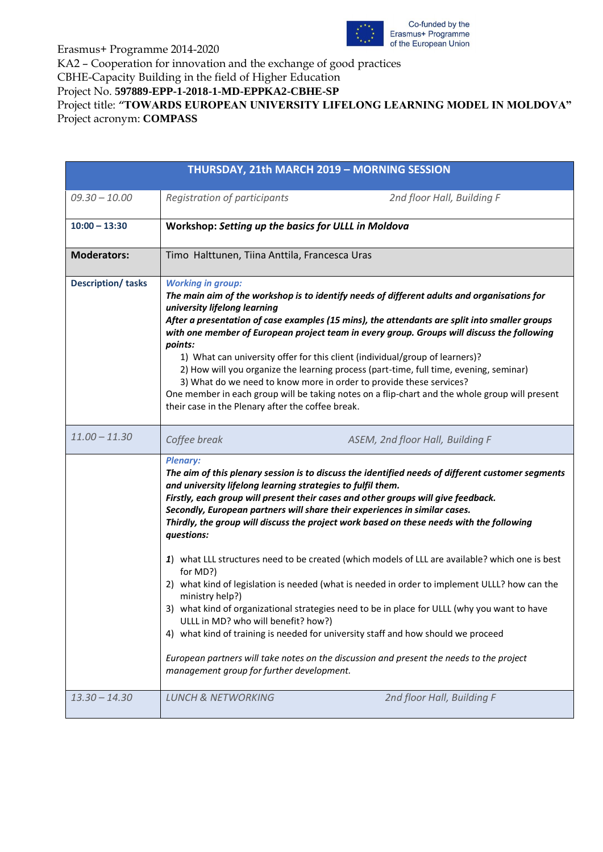

#### Erasmus+ Programme 2014-2020

KA2 – Cooperation for innovation and the exchange of good practices

CBHE-Capacity Building in the field of Higher Education

Project No. **597889-EPP-1-2018-1-MD-EPPKA2-CBHE-SP**

Project title: *"***TOWARDS EUROPEAN UNIVERSITY LIFELONG LEARNING MODEL IN MOLDOVA"** Project acronym: **COMPASS**

| <b>THURSDAY, 21th MARCH 2019 - MORNING SESSION</b> |                                                                                                                                                                                                                 |                                                                                                                                                                                                                                                                                                                                                                                                                                                                                                                                                                                                                                                                                                                                                                                                                                                       |  |
|----------------------------------------------------|-----------------------------------------------------------------------------------------------------------------------------------------------------------------------------------------------------------------|-------------------------------------------------------------------------------------------------------------------------------------------------------------------------------------------------------------------------------------------------------------------------------------------------------------------------------------------------------------------------------------------------------------------------------------------------------------------------------------------------------------------------------------------------------------------------------------------------------------------------------------------------------------------------------------------------------------------------------------------------------------------------------------------------------------------------------------------------------|--|
|                                                    |                                                                                                                                                                                                                 |                                                                                                                                                                                                                                                                                                                                                                                                                                                                                                                                                                                                                                                                                                                                                                                                                                                       |  |
| $09.30 - 10.00$                                    | Registration of participants                                                                                                                                                                                    | 2nd floor Hall, Building F                                                                                                                                                                                                                                                                                                                                                                                                                                                                                                                                                                                                                                                                                                                                                                                                                            |  |
| $10:00 - 13:30$                                    | Workshop: Setting up the basics for ULLL in Moldova                                                                                                                                                             |                                                                                                                                                                                                                                                                                                                                                                                                                                                                                                                                                                                                                                                                                                                                                                                                                                                       |  |
| <b>Moderators:</b>                                 | Timo Halttunen, Tiina Anttila, Francesca Uras                                                                                                                                                                   |                                                                                                                                                                                                                                                                                                                                                                                                                                                                                                                                                                                                                                                                                                                                                                                                                                                       |  |
| <b>Description/ tasks</b>                          | <b>Working in group:</b><br>university lifelong learning<br>points:<br>their case in the Plenary after the coffee break.                                                                                        | The main aim of the workshop is to identify needs of different adults and organisations for<br>After a presentation of case examples (15 mins), the attendants are split into smaller groups<br>with one member of European project team in every group. Groups will discuss the following<br>1) What can university offer for this client (individual/group of learners)?<br>2) How will you organize the learning process (part-time, full time, evening, seminar)<br>3) What do we need to know more in order to provide these services?<br>One member in each group will be taking notes on a flip-chart and the whole group will present                                                                                                                                                                                                         |  |
| $11.00 - 11.30$                                    | Coffee break                                                                                                                                                                                                    | ASEM, 2nd floor Hall, Building F                                                                                                                                                                                                                                                                                                                                                                                                                                                                                                                                                                                                                                                                                                                                                                                                                      |  |
|                                                    | <b>Plenary:</b><br>and university lifelong learning strategies to fulfil them.<br>questions:<br>for MD?)<br>ministry help?)<br>ULLL in MD? who will benefit? how?)<br>management group for further development. | The aim of this plenary session is to discuss the identified needs of different customer segments<br>Firstly, each group will present their cases and other groups will give feedback.<br>Secondly, European partners will share their experiences in similar cases.<br>Thirdly, the group will discuss the project work based on these needs with the following<br>1) what LLL structures need to be created (which models of LLL are available? which one is best<br>2) what kind of legislation is needed (what is needed in order to implement ULLL? how can the<br>3) what kind of organizational strategies need to be in place for ULLL (why you want to have<br>4) what kind of training is needed for university staff and how should we proceed<br>European partners will take notes on the discussion and present the needs to the project |  |
| $13.30 - 14.30$                                    | <b>LUNCH &amp; NETWORKING</b>                                                                                                                                                                                   | 2nd floor Hall, Building F                                                                                                                                                                                                                                                                                                                                                                                                                                                                                                                                                                                                                                                                                                                                                                                                                            |  |